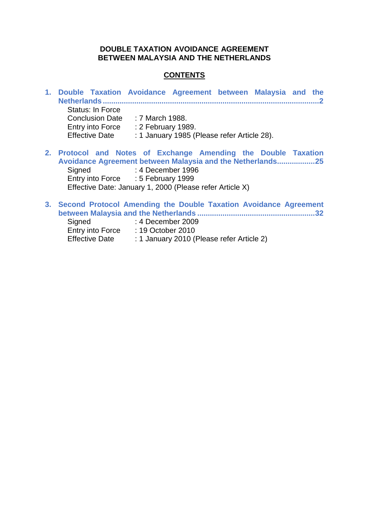### **DOUBLE TAXATION AVOIDANCE AGREEMENT BETWEEN MALAYSIA AND THE NETHERLANDS**

### **CONTENTS**

**1. [Double Taxation Avoidance Agreement between Malaysia and the](#page-1-0)  Netherlands [.......................................................................................................2](#page-1-0)**

Status: In Force

- Conclusion Date : 7 March 1988.
- Entry into Force : 2 February 1989.
- Effective Date : 1 January 1985 (Please refer Article 28).
- **2. [Protocol and Notes of Exchange Amending the Double Taxation](#page-25-0)  [Avoidance Agreement between Malaysia and the Netherlands..................2](#page-25-0)5** Signed : 4 December 1996 Entry into Force : 5 February 1999 Effective Date: January 1, 2000 (Please refer Article X)
- **3. [Second Protocol Amending the Double Taxation Avoidance Agreement](#page-32-0)  [between Malaysia and the Netherlands](#page-32-0) ........................................................32**
	- Signed : 4 December 2009 Entry into Force : 19 October 2010 Effective Date : 1 January 2010 (Please refer Article 2)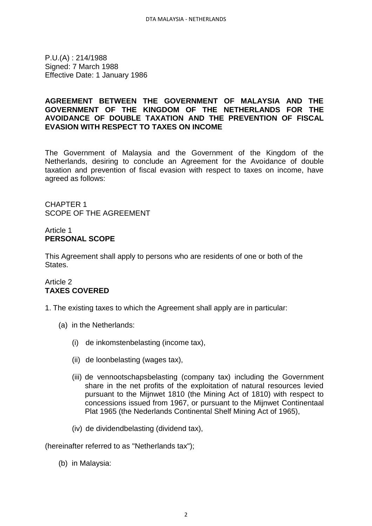<span id="page-1-0"></span>P.U.(A) : 214/1988 Signed: 7 March 1988 Effective Date: 1 January 1986

### **AGREEMENT BETWEEN THE GOVERNMENT OF MALAYSIA AND THE GOVERNMENT OF THE KINGDOM OF THE NETHERLANDS FOR THE AVOIDANCE OF DOUBLE TAXATION AND THE PREVENTION OF FISCAL EVASION WITH RESPECT TO TAXES ON INCOME**

The Government of Malaysia and the Government of the Kingdom of the Netherlands, desiring to conclude an Agreement for the Avoidance of double taxation and prevention of fiscal evasion with respect to taxes on income, have agreed as follows:

CHAPTER 1 SCOPE OF THE AGREEMENT

## Article 1 **PERSONAL SCOPE**

This Agreement shall apply to persons who are residents of one or both of the States.

### Article 2 **TAXES COVERED**

- 1. The existing taxes to which the Agreement shall apply are in particular:
	- (a) in the Netherlands:
		- (i) de inkomstenbelasting (income tax),
		- (ii) de loonbelasting (wages tax),
		- (iii) de vennootschapsbelasting (company tax) including the Government share in the net profits of the exploitation of natural resources levied pursuant to the Mijnwet 1810 (the Mining Act of 1810) with respect to concessions issued from 1967, or pursuant to the Mijnwet Continentaal Plat 1965 (the Nederlands Continental Shelf Mining Act of 1965),
		- (iv) de dividendbelasting (dividend tax),

(hereinafter referred to as "Netherlands tax");

(b) in Malaysia: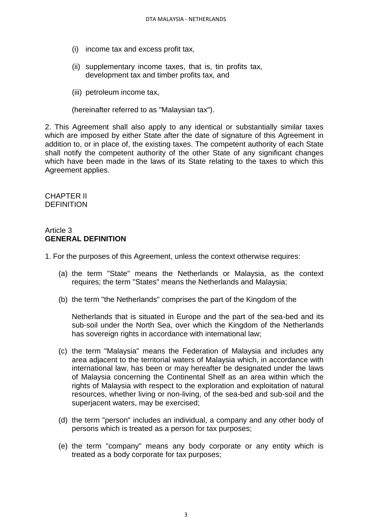- (i) income tax and excess profit tax,
- (ii) supplementary income taxes, that is, tin profits tax, development tax and timber profits tax, and
- (iii) petroleum income tax,

(hereinafter referred to as "Malaysian tax").

2. This Agreement shall also apply to any identical or substantially similar taxes which are imposed by either State after the date of signature of this Agreement in addition to, or in place of, the existing taxes. The competent authority of each State shall notify the competent authority of the other State of any significant changes which have been made in the laws of its State relating to the taxes to which this Agreement applies.

CHAPTER II **DEFINITION** 

# Article 3 **GENERAL DEFINITION**

- 1. For the purposes of this Agreement, unless the context otherwise requires:
	- (a) the term "State" means the Netherlands or Malaysia, as the context requires; the term "States" means the Netherlands and Malaysia;
	- (b) the term "the Netherlands" comprises the part of the Kingdom of the

Netherlands that is situated in Europe and the part of the sea-bed and its sub-soil under the North Sea, over which the Kingdom of the Netherlands has sovereign rights in accordance with international law;

- (c) the term "Malaysia" means the Federation of Malaysia and includes any area adjacent to the territorial waters of Malaysia which, in accordance with international law, has been or may hereafter be designated under the laws of Malaysia concerning the Continental Shelf as an area within which the rights of Malaysia with respect to the exploration and exploitation of natural resources, whether living or non-living, of the sea-bed and sub-soil and the superjacent waters, may be exercised;
- (d) the term "person" includes an individual, a company and any other body of persons which is treated as a person for tax purposes;
- (e) the term "company" means any body corporate or any entity which is treated as a body corporate for tax purposes;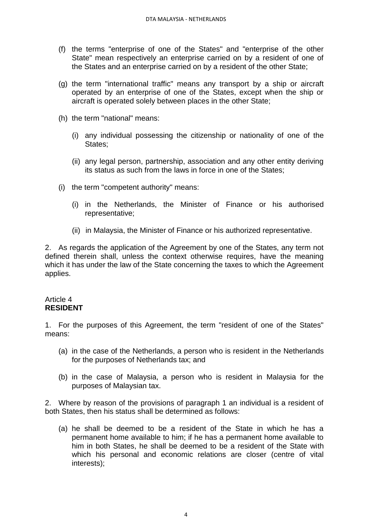- (f) the terms "enterprise of one of the States" and "enterprise of the other State" mean respectively an enterprise carried on by a resident of one of the States and an enterprise carried on by a resident of the other State;
- (g) the term "international traffic" means any transport by a ship or aircraft operated by an enterprise of one of the States, except when the ship or aircraft is operated solely between places in the other State;
- (h) the term "national" means:
	- (i) any individual possessing the citizenship or nationality of one of the States;
	- (ii) any legal person, partnership, association and any other entity deriving its status as such from the laws in force in one of the States;
- (i) the term "competent authority" means:
	- (i) in the Netherlands, the Minister of Finance or his authorised representative;
	- (ii) in Malaysia, the Minister of Finance or his authorized representative.

2. As regards the application of the Agreement by one of the States, any term not defined therein shall, unless the context otherwise requires, have the meaning which it has under the law of the State concerning the taxes to which the Agreement applies.

#### Article 4 **RESIDENT**

1. For the purposes of this Agreement, the term "resident of one of the States" means:

- (a) in the case of the Netherlands, a person who is resident in the Netherlands for the purposes of Netherlands tax; and
- (b) in the case of Malaysia, a person who is resident in Malaysia for the purposes of Malaysian tax.

2. Where by reason of the provisions of paragraph 1 an individual is a resident of both States, then his status shall be determined as follows:

(a) he shall be deemed to be a resident of the State in which he has a permanent home available to him; if he has a permanent home available to him in both States, he shall be deemed to be a resident of the State with which his personal and economic relations are closer (centre of vital interests);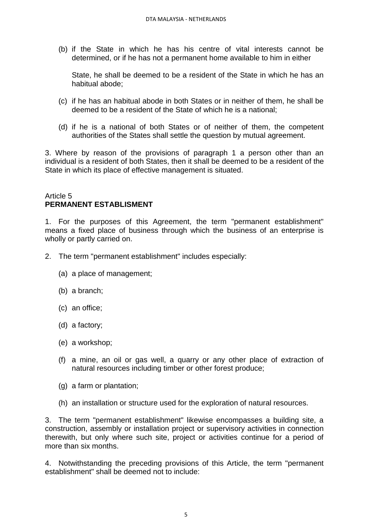(b) if the State in which he has his centre of vital interests cannot be determined, or if he has not a permanent home available to him in either

State, he shall be deemed to be a resident of the State in which he has an habitual abode;

- (c) if he has an habitual abode in both States or in neither of them, he shall be deemed to be a resident of the State of which he is a national;
- (d) if he is a national of both States or of neither of them, the competent authorities of the States shall settle the question by mutual agreement.

3. Where by reason of the provisions of paragraph 1 a person other than an individual is a resident of both States, then it shall be deemed to be a resident of the State in which its place of effective management is situated.

#### Article 5 **PERMANENT ESTABLISMENT**

1. For the purposes of this Agreement, the term "permanent establishment" means a fixed place of business through which the business of an enterprise is wholly or partly carried on.

- 2. The term "permanent establishment" includes especially:
	- (a) a place of management;
	- (b) a branch;
	- (c) an office;
	- (d) a factory;
	- (e) a workshop;
	- (f) a mine, an oil or gas well, a quarry or any other place of extraction of natural resources including timber or other forest produce;
	- (g) a farm or plantation;
	- (h) an installation or structure used for the exploration of natural resources.

3. The term "permanent establishment" likewise encompasses a building site, a construction, assembly or installation project or supervisory activities in connection therewith, but only where such site, project or activities continue for a period of more than six months.

4. Notwithstanding the preceding provisions of this Article, the term "permanent establishment" shall be deemed not to include: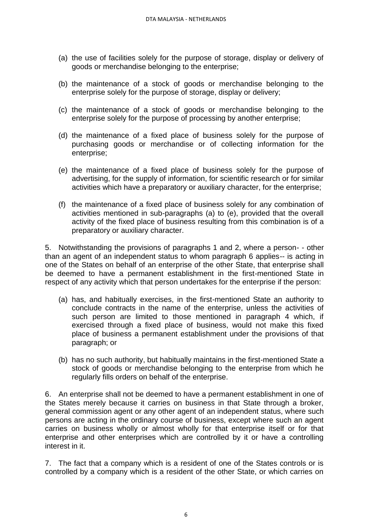- (a) the use of facilities solely for the purpose of storage, display or delivery of goods or merchandise belonging to the enterprise;
- (b) the maintenance of a stock of goods or merchandise belonging to the enterprise solely for the purpose of storage, display or delivery;
- (c) the maintenance of a stock of goods or merchandise belonging to the enterprise solely for the purpose of processing by another enterprise;
- (d) the maintenance of a fixed place of business solely for the purpose of purchasing goods or merchandise or of collecting information for the enterprise;
- (e) the maintenance of a fixed place of business solely for the purpose of advertising, for the supply of information, for scientific research or for similar activities which have a preparatory or auxiliary character, for the enterprise;
- (f) the maintenance of a fixed place of business solely for any combination of activities mentioned in sub-paragraphs (a) to (e), provided that the overall activity of the fixed place of business resulting from this combination is of a preparatory or auxiliary character.

5. Notwithstanding the provisions of paragraphs 1 and 2, where a person- - other than an agent of an independent status to whom paragraph 6 applies-- is acting in one of the States on behalf of an enterprise of the other State, that enterprise shall be deemed to have a permanent establishment in the first-mentioned State in respect of any activity which that person undertakes for the enterprise if the person:

- (a) has, and habitually exercises, in the first-mentioned State an authority to conclude contracts in the name of the enterprise, unless the activities of such person are limited to those mentioned in paragraph 4 which, if exercised through a fixed place of business, would not make this fixed place of business a permanent establishment under the provisions of that paragraph; or
- (b) has no such authority, but habitually maintains in the first-mentioned State a stock of goods or merchandise belonging to the enterprise from which he regularly fills orders on behalf of the enterprise.

6. An enterprise shall not be deemed to have a permanent establishment in one of the States merely because it carries on business in that State through a broker, general commission agent or any other agent of an independent status, where such persons are acting in the ordinary course of business, except where such an agent carries on business wholly or almost wholly for that enterprise itself or for that enterprise and other enterprises which are controlled by it or have a controlling interest in it.

7. The fact that a company which is a resident of one of the States controls or is controlled by a company which is a resident of the other State, or which carries on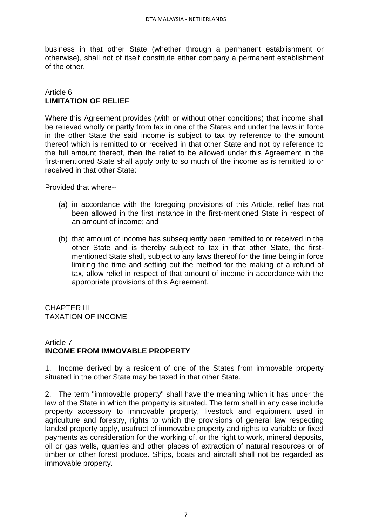business in that other State (whether through a permanent establishment or otherwise), shall not of itself constitute either company a permanent establishment of the other.

## Article 6 **LIMITATION OF RELIEF**

Where this Agreement provides (with or without other conditions) that income shall be relieved wholly or partly from tax in one of the States and under the laws in force in the other State the said income is subject to tax by reference to the amount thereof which is remitted to or received in that other State and not by reference to the full amount thereof, then the relief to be allowed under this Agreement in the first-mentioned State shall apply only to so much of the income as is remitted to or received in that other State:

Provided that where--

- (a) in accordance with the foregoing provisions of this Article, relief has not been allowed in the first instance in the first-mentioned State in respect of an amount of income; and
- (b) that amount of income has subsequently been remitted to or received in the other State and is thereby subject to tax in that other State, the firstmentioned State shall, subject to any laws thereof for the time being in force limiting the time and setting out the method for the making of a refund of tax, allow relief in respect of that amount of income in accordance with the appropriate provisions of this Agreement.

CHAPTER III TAXATION OF INCOME

#### Article 7 **INCOME FROM IMMOVABLE PROPERTY**

1. Income derived by a resident of one of the States from immovable property situated in the other State may be taxed in that other State.

2. The term "immovable property" shall have the meaning which it has under the law of the State in which the property is situated. The term shall in any case include property accessory to immovable property, livestock and equipment used in agriculture and forestry, rights to which the provisions of general law respecting landed property apply, usufruct of immovable property and rights to variable or fixed payments as consideration for the working of, or the right to work, mineral deposits, oil or gas wells, quarries and other places of extraction of natural resources or of timber or other forest produce. Ships, boats and aircraft shall not be regarded as immovable property.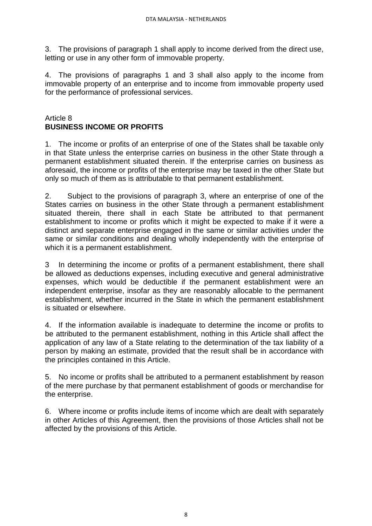3. The provisions of paragraph 1 shall apply to income derived from the direct use, letting or use in any other form of immovable property.

4. The provisions of paragraphs 1 and 3 shall also apply to the income from immovable property of an enterprise and to income from immovable property used for the performance of professional services.

## Article 8 **BUSINESS INCOME OR PROFITS**

1. The income or profits of an enterprise of one of the States shall be taxable only in that State unless the enterprise carries on business in the other State through a permanent establishment situated therein. If the enterprise carries on business as aforesaid, the income or profits of the enterprise may be taxed in the other State but only so much of them as is attributable to that permanent establishment.

2. Subject to the provisions of paragraph 3, where an enterprise of one of the States carries on business in the other State through a permanent establishment situated therein, there shall in each State be attributed to that permanent establishment to income or profits which it might be expected to make if it were a distinct and separate enterprise engaged in the same or similar activities under the same or similar conditions and dealing wholly independently with the enterprise of which it is a permanent establishment.

3 In determining the income or profits of a permanent establishment, there shall be allowed as deductions expenses, including executive and general administrative expenses, which would be deductible if the permanent establishment were an independent enterprise, insofar as they are reasonably allocable to the permanent establishment, whether incurred in the State in which the permanent establishment is situated or elsewhere.

4. If the information available is inadequate to determine the income or profits to be attributed to the permanent establishment, nothing in this Article shall affect the application of any law of a State relating to the determination of the tax liability of a person by making an estimate, provided that the result shall be in accordance with the principles contained in this Article.

5. No income or profits shall be attributed to a permanent establishment by reason of the mere purchase by that permanent establishment of goods or merchandise for the enterprise.

6. Where income or profits include items of income which are dealt with separately in other Articles of this Agreement, then the provisions of those Articles shall not be affected by the provisions of this Article.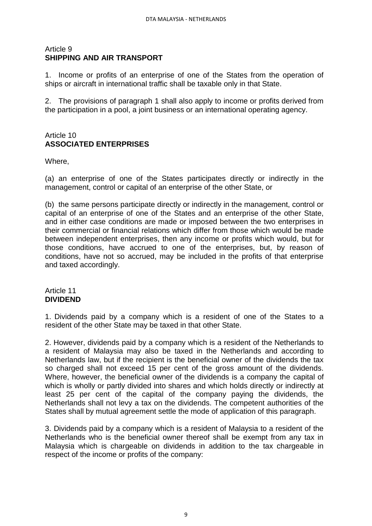### Article 9 **SHIPPING AND AIR TRANSPORT**

1. Income or profits of an enterprise of one of the States from the operation of ships or aircraft in international traffic shall be taxable only in that State.

2. The provisions of paragraph 1 shall also apply to income or profits derived from the participation in a pool, a joint business or an international operating agency.

### Article 10 **ASSOCIATED ENTERPRISES**

Where,

(a) an enterprise of one of the States participates directly or indirectly in the management, control or capital of an enterprise of the other State, or

(b) the same persons participate directly or indirectly in the management, control or capital of an enterprise of one of the States and an enterprise of the other State, and in either case conditions are made or imposed between the two enterprises in their commercial or financial relations which differ from those which would be made between independent enterprises, then any income or profits which would, but for those conditions, have accrued to one of the enterprises, but, by reason of conditions, have not so accrued, may be included in the profits of that enterprise and taxed accordingly.

#### Article 11 **DIVIDEND**

1. Dividends paid by a company which is a resident of one of the States to a resident of the other State may be taxed in that other State.

2. However, dividends paid by a company which is a resident of the Netherlands to a resident of Malaysia may also be taxed in the Netherlands and according to Netherlands law, but if the recipient is the beneficial owner of the dividends the tax so charged shall not exceed 15 per cent of the gross amount of the dividends. Where, however, the beneficial owner of the dividends is a company the capital of which is wholly or partly divided into shares and which holds directly or indirectly at least 25 per cent of the capital of the company paying the dividends, the Netherlands shall not levy a tax on the dividends. The competent authorities of the States shall by mutual agreement settle the mode of application of this paragraph.

3. Dividends paid by a company which is a resident of Malaysia to a resident of the Netherlands who is the beneficial owner thereof shall be exempt from any tax in Malaysia which is chargeable on dividends in addition to the tax chargeable in respect of the income or profits of the company: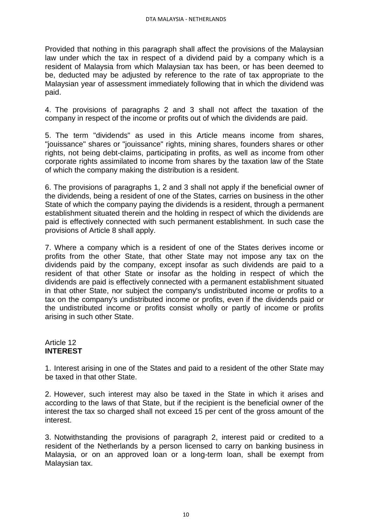Provided that nothing in this paragraph shall affect the provisions of the Malaysian law under which the tax in respect of a dividend paid by a company which is a resident of Malaysia from which Malaysian tax has been, or has been deemed to be, deducted may be adjusted by reference to the rate of tax appropriate to the Malaysian year of assessment immediately following that in which the dividend was paid.

4. The provisions of paragraphs 2 and 3 shall not affect the taxation of the company in respect of the income or profits out of which the dividends are paid.

5. The term "dividends" as used in this Article means income from shares, "jouissance" shares or "jouissance" rights, mining shares, founders shares or other rights, not being debt-claims, participating in profits, as well as income from other corporate rights assimilated to income from shares by the taxation law of the State of which the company making the distribution is a resident.

6. The provisions of paragraphs 1, 2 and 3 shall not apply if the beneficial owner of the dividends, being a resident of one of the States, carries on business in the other State of which the company paying the dividends is a resident, through a permanent establishment situated therein and the holding in respect of which the dividends are paid is effectively connected with such permanent establishment. In such case the provisions of Article 8 shall apply.

7. Where a company which is a resident of one of the States derives income or profits from the other State, that other State may not impose any tax on the dividends paid by the company, except insofar as such dividends are paid to a resident of that other State or insofar as the holding in respect of which the dividends are paid is effectively connected with a permanent establishment situated in that other State, nor subject the company's undistributed income or profits to a tax on the company's undistributed income or profits, even if the dividends paid or the undistributed income or profits consist wholly or partly of income or profits arising in such other State.

### Article 12 **INTEREST**

1. Interest arising in one of the States and paid to a resident of the other State may be taxed in that other State.

2. However, such interest may also be taxed in the State in which it arises and according to the laws of that State, but if the recipient is the beneficial owner of the interest the tax so charged shall not exceed 15 per cent of the gross amount of the interest.

3. Notwithstanding the provisions of paragraph 2, interest paid or credited to a resident of the Netherlands by a person licensed to carry on banking business in Malaysia, or on an approved loan or a long-term loan, shall be exempt from Malaysian tax.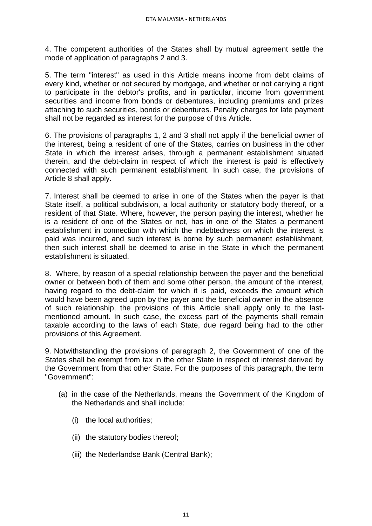4. The competent authorities of the States shall by mutual agreement settle the mode of application of paragraphs 2 and 3.

5. The term "interest" as used in this Article means income from debt claims of every kind, whether or not secured by mortgage, and whether or not carrying a right to participate in the debtor's profits, and in particular, income from government securities and income from bonds or debentures, including premiums and prizes attaching to such securities, bonds or debentures. Penalty charges for late payment shall not be regarded as interest for the purpose of this Article.

6. The provisions of paragraphs 1, 2 and 3 shall not apply if the beneficial owner of the interest, being a resident of one of the States, carries on business in the other State in which the interest arises, through a permanent establishment situated therein, and the debt-claim in respect of which the interest is paid is effectively connected with such permanent establishment. In such case, the provisions of Article 8 shall apply.

7. Interest shall be deemed to arise in one of the States when the payer is that State itself, a political subdivision, a local authority or statutory body thereof, or a resident of that State. Where, however, the person paying the interest, whether he is a resident of one of the States or not, has in one of the States a permanent establishment in connection with which the indebtedness on which the interest is paid was incurred, and such interest is borne by such permanent establishment, then such interest shall be deemed to arise in the State in which the permanent establishment is situated.

8. Where, by reason of a special relationship between the payer and the beneficial owner or between both of them and some other person, the amount of the interest, having regard to the debt-claim for which it is paid, exceeds the amount which would have been agreed upon by the payer and the beneficial owner in the absence of such relationship, the provisions of this Article shall apply only to the lastmentioned amount. In such case, the excess part of the payments shall remain taxable according to the laws of each State, due regard being had to the other provisions of this Agreement.

9. Notwithstanding the provisions of paragraph 2, the Government of one of the States shall be exempt from tax in the other State in respect of interest derived by the Government from that other State. For the purposes of this paragraph, the term "Government":

- (a) in the case of the Netherlands, means the Government of the Kingdom of the Netherlands and shall include:
	- (i) the local authorities;
	- (ii) the statutory bodies thereof;
	- (iii) the Nederlandse Bank (Central Bank);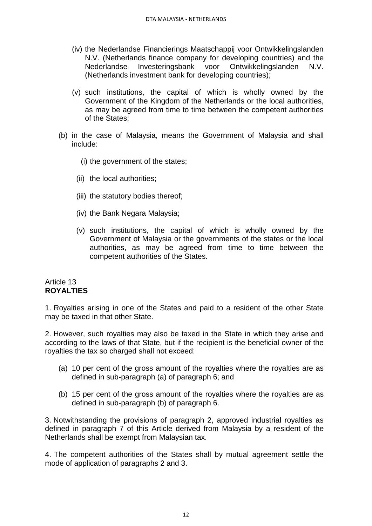- (iv) the Nederlandse Financierings Maatschappij voor Ontwikkelingslanden N.V. (Netherlands finance company for developing countries) and the Nederlandse Investeringsbank voor Ontwikkelingslanden N.V. (Netherlands investment bank for developing countries);
- (v) such institutions, the capital of which is wholly owned by the Government of the Kingdom of the Netherlands or the local authorities, as may be agreed from time to time between the competent authorities of the States;
- (b) in the case of Malaysia, means the Government of Malaysia and shall include:
	- (i) the government of the states;
	- (ii) the local authorities;
	- (iii) the statutory bodies thereof;
	- (iv) the Bank Negara Malaysia;
	- (v) such institutions, the capital of which is wholly owned by the Government of Malaysia or the governments of the states or the local authorities, as may be agreed from time to time between the competent authorities of the States.

## Article 13 **ROYALTIES**

1. Royalties arising in one of the States and paid to a resident of the other State may be taxed in that other State.

2. However, such royalties may also be taxed in the State in which they arise and according to the laws of that State, but if the recipient is the beneficial owner of the royalties the tax so charged shall not exceed:

- (a) 10 per cent of the gross amount of the royalties where the royalties are as defined in sub-paragraph (a) of paragraph 6; and
- (b) 15 per cent of the gross amount of the royalties where the royalties are as defined in sub-paragraph (b) of paragraph 6.

3. Notwithstanding the provisions of paragraph 2, approved industrial royalties as defined in paragraph 7 of this Article derived from Malaysia by a resident of the Netherlands shall be exempt from Malaysian tax.

4. The competent authorities of the States shall by mutual agreement settle the mode of application of paragraphs 2 and 3.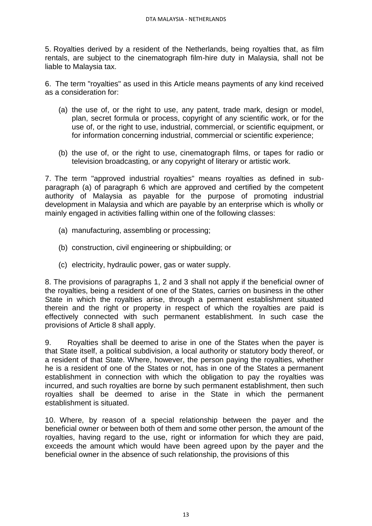5. Royalties derived by a resident of the Netherlands, being royalties that, as film rentals, are subject to the cinematograph film-hire duty in Malaysia, shall not be liable to Malaysia tax.

6. The term "royalties" as used in this Article means payments of any kind received as a consideration for:

- (a) the use of, or the right to use, any patent, trade mark, design or model, plan, secret formula or process, copyright of any scientific work, or for the use of, or the right to use, industrial, commercial, or scientific equipment, or for information concerning industrial, commercial or scientific experience;
- (b) the use of, or the right to use, cinematograph films, or tapes for radio or television broadcasting, or any copyright of literary or artistic work.

7. The term "approved industrial royalties" means royalties as defined in subparagraph (a) of paragraph 6 which are approved and certified by the competent authority of Malaysia as payable for the purpose of promoting industrial development in Malaysia and which are payable by an enterprise which is wholly or mainly engaged in activities falling within one of the following classes:

- (a) manufacturing, assembling or processing;
- (b) construction, civil engineering or shipbuilding; or
- (c) electricity, hydraulic power, gas or water supply.

8. The provisions of paragraphs 1, 2 and 3 shall not apply if the beneficial owner of the royalties, being a resident of one of the States, carries on business in the other State in which the royalties arise, through a permanent establishment situated therein and the right or property in respect of which the royalties are paid is effectively connected with such permanent establishment. In such case the provisions of Article 8 shall apply.

9. Royalties shall be deemed to arise in one of the States when the payer is that State itself, a political subdivision, a local authority or statutory body thereof, or a resident of that State. Where, however, the person paying the royalties, whether he is a resident of one of the States or not, has in one of the States a permanent establishment in connection with which the obligation to pay the royalties was incurred, and such royalties are borne by such permanent establishment, then such royalties shall be deemed to arise in the State in which the permanent establishment is situated.

10. Where, by reason of a special relationship between the payer and the beneficial owner or between both of them and some other person, the amount of the royalties, having regard to the use, right or information for which they are paid, exceeds the amount which would have been agreed upon by the payer and the beneficial owner in the absence of such relationship, the provisions of this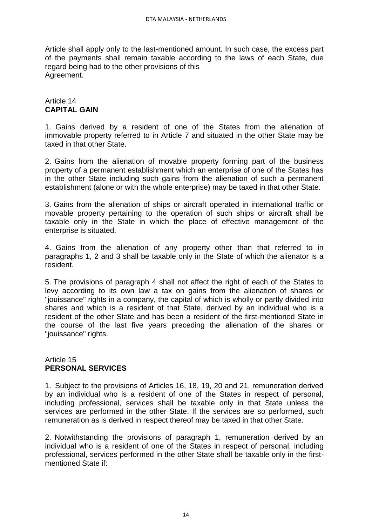Article shall apply only to the last-mentioned amount. In such case, the excess part of the payments shall remain taxable according to the laws of each State, due regard being had to the other provisions of this Agreement.

# Article 14 **CAPITAL GAIN**

1. Gains derived by a resident of one of the States from the alienation of immovable property referred to in Article 7 and situated in the other State may be taxed in that other State.

2. Gains from the alienation of movable property forming part of the business property of a permanent establishment which an enterprise of one of the States has in the other State including such gains from the alienation of such a permanent establishment (alone or with the whole enterprise) may be taxed in that other State.

3. Gains from the alienation of ships or aircraft operated in international traffic or movable property pertaining to the operation of such ships or aircraft shall be taxable only in the State in which the place of effective management of the enterprise is situated.

4. Gains from the alienation of any property other than that referred to in paragraphs 1, 2 and 3 shall be taxable only in the State of which the alienator is a resident.

5. The provisions of paragraph 4 shall not affect the right of each of the States to levy according to its own law a tax on gains from the alienation of shares or "jouissance" rights in a company, the capital of which is wholly or partly divided into shares and which is a resident of that State, derived by an individual who is a resident of the other State and has been a resident of the first-mentioned State in the course of the last five years preceding the alienation of the shares or "jouissance" rights.

#### Article 15 **PERSONAL SERVICES**

1. Subject to the provisions of Articles 16, 18, 19, 20 and 21, remuneration derived by an individual who is a resident of one of the States in respect of personal, including professional, services shall be taxable only in that State unless the services are performed in the other State. If the services are so performed, such remuneration as is derived in respect thereof may be taxed in that other State.

2. Notwithstanding the provisions of paragraph 1, remuneration derived by an individual who is a resident of one of the States in respect of personal, including professional, services performed in the other State shall be taxable only in the firstmentioned State if: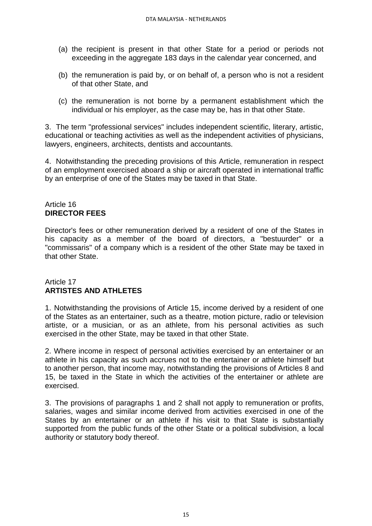- (a) the recipient is present in that other State for a period or periods not exceeding in the aggregate 183 days in the calendar year concerned, and
- (b) the remuneration is paid by, or on behalf of, a person who is not a resident of that other State, and
- (c) the remuneration is not borne by a permanent establishment which the individual or his employer, as the case may be, has in that other State.

3. The term "professional services" includes independent scientific, literary, artistic, educational or teaching activities as well as the independent activities of physicians, lawyers, engineers, architects, dentists and accountants.

4. Notwithstanding the preceding provisions of this Article, remuneration in respect of an employment exercised aboard a ship or aircraft operated in international traffic by an enterprise of one of the States may be taxed in that State.

### Article 16 **DIRECTOR FEES**

Director's fees or other remuneration derived by a resident of one of the States in his capacity as a member of the board of directors, a "bestuurder" or a "commissaris" of a company which is a resident of the other State may be taxed in that other State.

#### Article 17 **ARTISTES AND ATHLETES**

1. Notwithstanding the provisions of Article 15, income derived by a resident of one of the States as an entertainer, such as a theatre, motion picture, radio or television artiste, or a musician, or as an athlete, from his personal activities as such exercised in the other State, may be taxed in that other State.

2. Where income in respect of personal activities exercised by an entertainer or an athlete in his capacity as such accrues not to the entertainer or athlete himself but to another person, that income may, notwithstanding the provisions of Articles 8 and 15, be taxed in the State in which the activities of the entertainer or athlete are exercised.

3. The provisions of paragraphs 1 and 2 shall not apply to remuneration or profits, salaries, wages and similar income derived from activities exercised in one of the States by an entertainer or an athlete if his visit to that State is substantially supported from the public funds of the other State or a political subdivision, a local authority or statutory body thereof.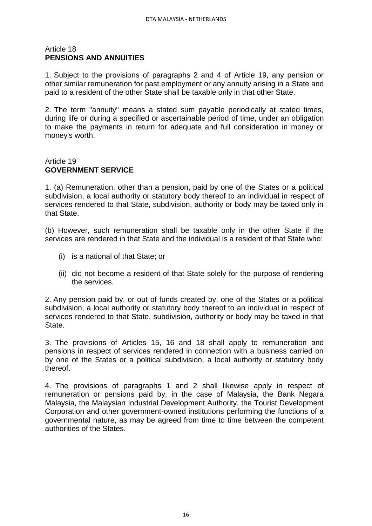#### Article 18 **PENSIONS AND ANNUITIES**

1. Subject to the provisions of paragraphs 2 and 4 of Article 19, any pension or other similar remuneration for past employment or any annuity arising in a State and paid to a resident of the other State shall be taxable only in that other State.

2. The term "annuity" means a stated sum payable periodically at stated times, during life or during a specified or ascertainable period of time, under an obligation to make the payments in return for adequate and full consideration in money or money's worth.

### Article 19 **GOVERNMENT SERVICE**

1. (a) Remuneration, other than a pension, paid by one of the States or a political subdivision, a local authority or statutory body thereof to an individual in respect of services rendered to that State, subdivision, authority or body may be taxed only in that State.

(b) However, such remuneration shall be taxable only in the other State if the services are rendered in that State and the individual is a resident of that State who:

- (i) is a national of that State; or
- (ii) did not become a resident of that State solely for the purpose of rendering the services.

2. Any pension paid by, or out of funds created by, one of the States or a political subdivision, a local authority or statutory body thereof to an individual in respect of services rendered to that State, subdivision, authority or body may be taxed in that State.

3. The provisions of Articles 15, 16 and 18 shall apply to remuneration and pensions in respect of services rendered in connection with a business carried on by one of the States or a political subdivision, a local authority or statutory body thereof.

4. The provisions of paragraphs 1 and 2 shall likewise apply in respect of remuneration or pensions paid by, in the case of Malaysia, the Bank Negara Malaysia, the Malaysian Industrial Development Authority, the Tourist Development Corporation and other government-owned institutions performing the functions of a governmental nature, as may be agreed from time to time between the competent authorities of the States.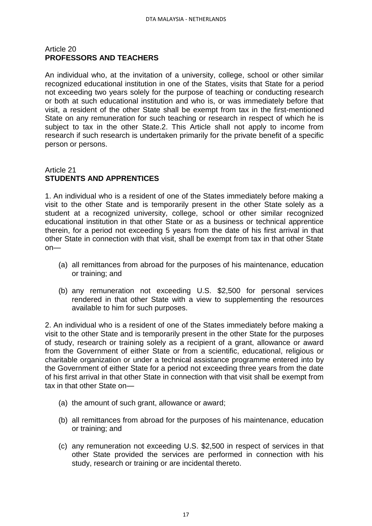### Article 20 **PROFESSORS AND TEACHERS**

An individual who, at the invitation of a university, college, school or other similar recognized educational institution in one of the States, visits that State for a period not exceeding two years solely for the purpose of teaching or conducting research or both at such educational institution and who is, or was immediately before that visit, a resident of the other State shall be exempt from tax in the first-mentioned State on any remuneration for such teaching or research in respect of which he is subject to tax in the other State.2. This Article shall not apply to income from research if such research is undertaken primarily for the private benefit of a specific person or persons.

# Article 21 **STUDENTS AND APPRENTICES**

1. An individual who is a resident of one of the States immediately before making a visit to the other State and is temporarily present in the other State solely as a student at a recognized university, college, school or other similar recognized educational institution in that other State or as a business or technical apprentice therein, for a period not exceeding 5 years from the date of his first arrival in that other State in connection with that visit, shall be exempt from tax in that other State  $on$ —

- (a) all remittances from abroad for the purposes of his maintenance, education or training; and
- (b) any remuneration not exceeding U.S. \$2,500 for personal services rendered in that other State with a view to supplementing the resources available to him for such purposes.

2. An individual who is a resident of one of the States immediately before making a visit to the other State and is temporarily present in the other State for the purposes of study, research or training solely as a recipient of a grant, allowance or award from the Government of either State or from a scientific, educational, religious or charitable organization or under a technical assistance programme entered into by the Government of either State for a period not exceeding three years from the date of his first arrival in that other State in connection with that visit shall be exempt from tax in that other State on—

- (a) the amount of such grant, allowance or award;
- (b) all remittances from abroad for the purposes of his maintenance, education or training; and
- (c) any remuneration not exceeding U.S. \$2,500 in respect of services in that other State provided the services are performed in connection with his study, research or training or are incidental thereto.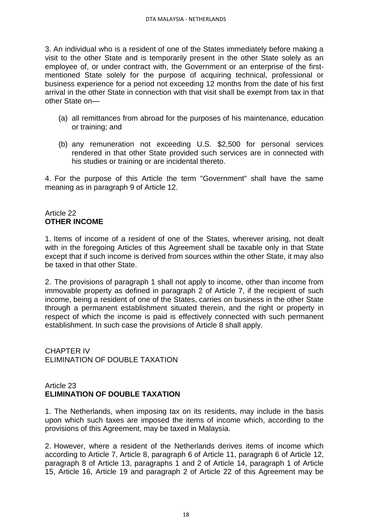3. An individual who is a resident of one of the States immediately before making a visit to the other State and is temporarily present in the other State solely as an employee of, or under contract with, the Government or an enterprise of the firstmentioned State solely for the purpose of acquiring technical, professional or business experience for a period not exceeding 12 months from the date of his first arrival in the other State in connection with that visit shall be exempt from tax in that other State on—

- (a) all remittances from abroad for the purposes of his maintenance, education or training; and
- (b) any remuneration not exceeding U.S. \$2,500 for personal services rendered in that other State provided such services are in connected with his studies or training or are incidental thereto.

4. For the purpose of this Article the term "Government" shall have the same meaning as in paragraph 9 of Article 12.

### Article 22 **OTHER INCOME**

1. Items of income of a resident of one of the States, wherever arising, not dealt with in the foregoing Articles of this Agreement shall be taxable only in that State except that if such income is derived from sources within the other State, it may also be taxed in that other State.

2. The provisions of paragraph 1 shall not apply to income, other than income from immovable property as defined in paragraph 2 of Article 7, if the recipient of such income, being a resident of one of the States, carries on business in the other State through a permanent establishment situated therein, and the right or property in respect of which the income is paid is effectively connected with such permanent establishment. In such case the provisions of Article 8 shall apply.

CHAPTER IV ELIMINATION OF DOUBLE TAXATION

#### Article 23 **ELIMINATION OF DOUBLE TAXATION**

1. The Netherlands, when imposing tax on its residents, may include in the basis upon which such taxes are imposed the items of income which, according to the provisions of this Agreement, may be taxed in Malaysia.

2. However, where a resident of the Netherlands derives items of income which according to Article 7, Article 8, paragraph 6 of Article 11, paragraph 6 of Article 12, paragraph 8 of Article 13, paragraphs 1 and 2 of Article 14, paragraph 1 of Article 15, Article 16, Article 19 and paragraph 2 of Article 22 of this Agreement may be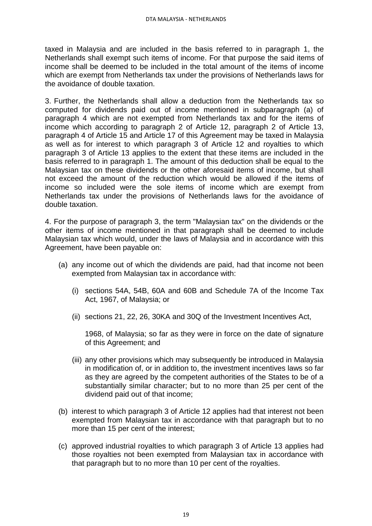taxed in Malaysia and are included in the basis referred to in paragraph 1, the Netherlands shall exempt such items of income. For that purpose the said items of income shall be deemed to be included in the total amount of the items of income which are exempt from Netherlands tax under the provisions of Netherlands laws for the avoidance of double taxation.

3. Further, the Netherlands shall allow a deduction from the Netherlands tax so computed for dividends paid out of income mentioned in subparagraph (a) of paragraph 4 which are not exempted from Netherlands tax and for the items of income which according to paragraph 2 of Article 12, paragraph 2 of Article 13, paragraph 4 of Article 15 and Article 17 of this Agreement may be taxed in Malaysia as well as for interest to which paragraph 3 of Article 12 and royalties to which paragraph 3 of Article 13 applies to the extent that these items are included in the basis referred to in paragraph 1. The amount of this deduction shall be equal to the Malaysian tax on these dividends or the other aforesaid items of income, but shall not exceed the amount of the reduction which would be allowed if the items of income so included were the sole items of income which are exempt from Netherlands tax under the provisions of Netherlands laws for the avoidance of double taxation.

4. For the purpose of paragraph 3, the term "Malaysian tax" on the dividends or the other items of income mentioned in that paragraph shall be deemed to include Malaysian tax which would, under the laws of Malaysia and in accordance with this Agreement, have been payable on:

- (a) any income out of which the dividends are paid, had that income not been exempted from Malaysian tax in accordance with:
	- (i) sections 54A, 54B, 60A and 60B and Schedule 7A of the Income Tax Act, 1967, of Malaysia; or
	- (ii) sections 21, 22, 26, 30KA and 30Q of the Investment Incentives Act,

1968, of Malaysia; so far as they were in force on the date of signature of this Agreement; and

- (iii) any other provisions which may subsequently be introduced in Malaysia in modification of, or in addition to, the investment incentives laws so far as they are agreed by the competent authorities of the States to be of a substantially similar character; but to no more than 25 per cent of the dividend paid out of that income;
- (b) interest to which paragraph 3 of Article 12 applies had that interest not been exempted from Malaysian tax in accordance with that paragraph but to no more than 15 per cent of the interest;
- (c) approved industrial royalties to which paragraph 3 of Article 13 applies had those royalties not been exempted from Malaysian tax in accordance with that paragraph but to no more than 10 per cent of the royalties.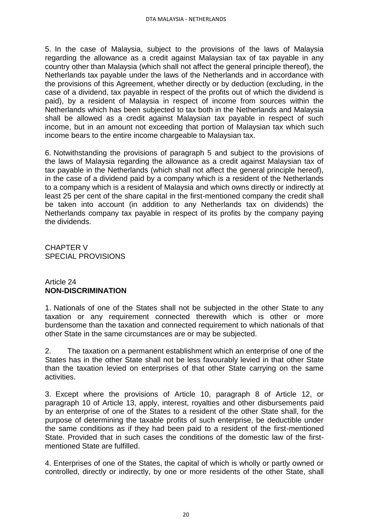5. In the case of Malaysia, subject to the provisions of the laws of Malaysia regarding the allowance as a credit against Malaysian tax of tax payable in any country other than Malaysia (which shall not affect the general principle thereof), the Netherlands tax payable under the laws of the Netherlands and in accordance with the provisions of this Agreement, whether directly or by deduction (excluding, in the case of a dividend, tax payable in respect of the profits out of which the dividend is paid), by a resident of Malaysia in respect of income from sources within the Netherlands which has been subjected to tax both in the Netherlands and Malaysia shall be allowed as a credit against Malaysian tax payable in respect of such income, but in an amount not exceeding that portion of Malaysian tax which such income bears to the entire income chargeable to Malaysian tax.

6. Notwithstanding the provisions of paragraph 5 and subject to the provisions of the laws of Malaysia regarding the allowance as a credit against Malaysian tax of tax payable in the Netherlands (which shall not affect the general principle hereof), in the case of a dividend paid by a company which is a resident of the Netherlands to a company which is a resident of Malaysia and which owns directly or indirectly at least 25 per cent of the share capital in the first-mentioned company the credit shall be taken into account (in addition to any Netherlands tax on dividends) the Netherlands company tax payable in respect of its profits by the company paying the dividends.

CHAPTER V SPECIAL PROVISIONS

#### Article 24 **NON-DISCRIMINATION**

1. Nationals of one of the States shall not be subjected in the other State to any taxation or any requirement connected therewith which is other or more burdensome than the taxation and connected requirement to which nationals of that other State in the same circumstances are or may be subjected.

2. The taxation on a permanent establishment which an enterprise of one of the States has in the other State shall not be less favourably levied in that other State than the taxation levied on enterprises of that other State carrying on the same activities.

3. Except where the provisions of Article 10, paragraph 8 of Article 12, or paragraph 10 of Article 13, apply, interest, royalties and other disbursements paid by an enterprise of one of the States to a resident of the other State shall, for the purpose of determining the taxable profits of such enterprise, be deductible under the same conditions as if they had been paid to a resident of the first-mentioned State. Provided that in such cases the conditions of the domestic law of the firstmentioned State are fulfilled.

4. Enterprises of one of the States, the capital of which is wholly or partly owned or controlled, directly or indirectly, by one or more residents of the other State, shall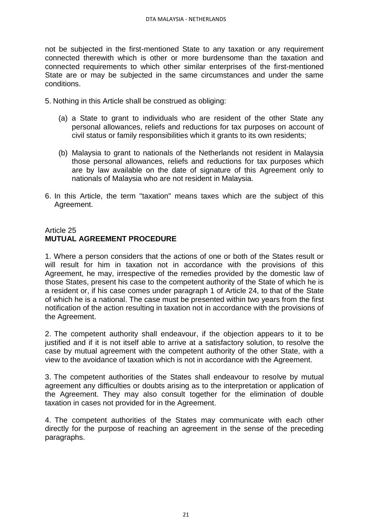not be subjected in the first-mentioned State to any taxation or any requirement connected therewith which is other or more burdensome than the taxation and connected requirements to which other similar enterprises of the first-mentioned State are or may be subjected in the same circumstances and under the same conditions.

5. Nothing in this Article shall be construed as obliging:

- (a) a State to grant to individuals who are resident of the other State any personal allowances, reliefs and reductions for tax purposes on account of civil status or family responsibilities which it grants to its own residents;
- (b) Malaysia to grant to nationals of the Netherlands not resident in Malaysia those personal allowances, reliefs and reductions for tax purposes which are by law available on the date of signature of this Agreement only to nationals of Malaysia who are not resident in Malaysia.
- 6. In this Article, the term "taxation" means taxes which are the subject of this Agreement.

# Article 25 **MUTUAL AGREEMENT PROCEDURE**

1. Where a person considers that the actions of one or both of the States result or will result for him in taxation not in accordance with the provisions of this Agreement, he may, irrespective of the remedies provided by the domestic law of those States, present his case to the competent authority of the State of which he is a resident or, if his case comes under paragraph 1 of Article 24, to that of the State of which he is a national. The case must be presented within two years from the first notification of the action resulting in taxation not in accordance with the provisions of the Agreement.

2. The competent authority shall endeavour, if the objection appears to it to be justified and if it is not itself able to arrive at a satisfactory solution, to resolve the case by mutual agreement with the competent authority of the other State, with a view to the avoidance of taxation which is not in accordance with the Agreement.

3. The competent authorities of the States shall endeavour to resolve by mutual agreement any difficulties or doubts arising as to the interpretation or application of the Agreement. They may also consult together for the elimination of double taxation in cases not provided for in the Agreement.

4. The competent authorities of the States may communicate with each other directly for the purpose of reaching an agreement in the sense of the preceding paragraphs.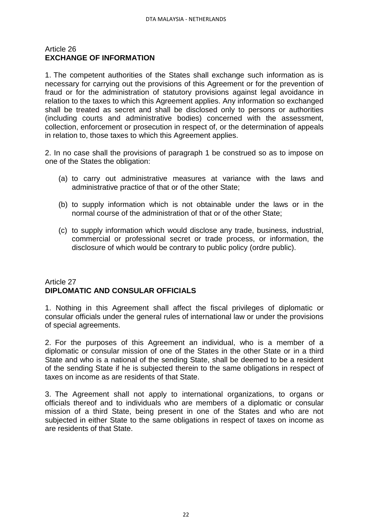#### Article 26 **EXCHANGE OF INFORMATION**

1. The competent authorities of the States shall exchange such information as is necessary for carrying out the provisions of this Agreement or for the prevention of fraud or for the administration of statutory provisions against legal avoidance in relation to the taxes to which this Agreement applies. Any information so exchanged shall be treated as secret and shall be disclosed only to persons or authorities (including courts and administrative bodies) concerned with the assessment, collection, enforcement or prosecution in respect of, or the determination of appeals in relation to, those taxes to which this Agreement applies.

2. In no case shall the provisions of paragraph 1 be construed so as to impose on one of the States the obligation:

- (a) to carry out administrative measures at variance with the laws and administrative practice of that or of the other State;
- (b) to supply information which is not obtainable under the laws or in the normal course of the administration of that or of the other State;
- (c) to supply information which would disclose any trade, business, industrial, commercial or professional secret or trade process, or information, the disclosure of which would be contrary to public policy (ordre public).

## Article 27 **DIPLOMATIC AND CONSULAR OFFICIALS**

1. Nothing in this Agreement shall affect the fiscal privileges of diplomatic or consular officials under the general rules of international law or under the provisions of special agreements.

2. For the purposes of this Agreement an individual, who is a member of a diplomatic or consular mission of one of the States in the other State or in a third State and who is a national of the sending State, shall be deemed to be a resident of the sending State if he is subjected therein to the same obligations in respect of taxes on income as are residents of that State.

3. The Agreement shall not apply to international organizations, to organs or officials thereof and to individuals who are members of a diplomatic or consular mission of a third State, being present in one of the States and who are not subjected in either State to the same obligations in respect of taxes on income as are residents of that State.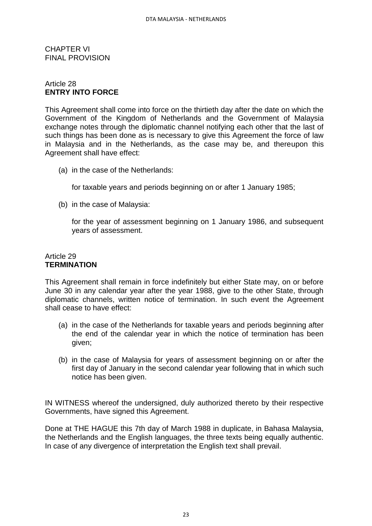CHAPTER VI FINAL PROVISION

## Article 28 **ENTRY INTO FORCE**

This Agreement shall come into force on the thirtieth day after the date on which the Government of the Kingdom of Netherlands and the Government of Malaysia exchange notes through the diplomatic channel notifying each other that the last of such things has been done as is necessary to give this Agreement the force of law in Malaysia and in the Netherlands, as the case may be, and thereupon this Agreement shall have effect:

(a) in the case of the Netherlands:

for taxable years and periods beginning on or after 1 January 1985;

(b) in the case of Malaysia:

for the year of assessment beginning on 1 January 1986, and subsequent years of assessment.

## Article 29 **TERMINATION**

This Agreement shall remain in force indefinitely but either State may, on or before June 30 in any calendar year after the year 1988, give to the other State, through diplomatic channels, written notice of termination. In such event the Agreement shall cease to have effect:

- (a) in the case of the Netherlands for taxable years and periods beginning after the end of the calendar year in which the notice of termination has been given;
- (b) in the case of Malaysia for years of assessment beginning on or after the first day of January in the second calendar year following that in which such notice has been given.

IN WITNESS whereof the undersigned, duly authorized thereto by their respective Governments, have signed this Agreement.

Done at THE HAGUE this 7th day of March 1988 in duplicate, in Bahasa Malaysia, the Netherlands and the English languages, the three texts being equally authentic. In case of any divergence of interpretation the English text shall prevail.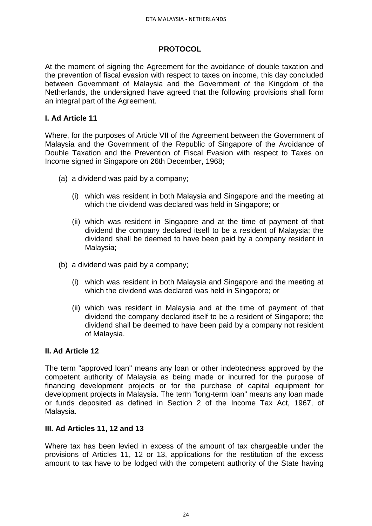### **PROTOCOL**

At the moment of signing the Agreement for the avoidance of double taxation and the prevention of fiscal evasion with respect to taxes on income, this day concluded between Government of Malaysia and the Government of the Kingdom of the Netherlands, the undersigned have agreed that the following provisions shall form an integral part of the Agreement.

#### **I. Ad Article 11**

Where, for the purposes of Article VII of the Agreement between the Government of Malaysia and the Government of the Republic of Singapore of the Avoidance of Double Taxation and the Prevention of Fiscal Evasion with respect to Taxes on Income signed in Singapore on 26th December, 1968;

- (a) a dividend was paid by a company;
	- (i) which was resident in both Malaysia and Singapore and the meeting at which the dividend was declared was held in Singapore; or
	- (ii) which was resident in Singapore and at the time of payment of that dividend the company declared itself to be a resident of Malaysia; the dividend shall be deemed to have been paid by a company resident in Malaysia;
- (b) a dividend was paid by a company;
	- (i) which was resident in both Malaysia and Singapore and the meeting at which the dividend was declared was held in Singapore; or
	- (ii) which was resident in Malaysia and at the time of payment of that dividend the company declared itself to be a resident of Singapore; the dividend shall be deemed to have been paid by a company not resident of Malaysia.

### **II. Ad Article 12**

The term "approved loan" means any loan or other indebtedness approved by the competent authority of Malaysia as being made or incurred for the purpose of financing development projects or for the purchase of capital equipment for development projects in Malaysia. The term "long-term loan" means any loan made or funds deposited as defined in Section 2 of the Income Tax Act, 1967, of Malaysia.

### **III. Ad Articles 11, 12 and 13**

Where tax has been levied in excess of the amount of tax chargeable under the provisions of Articles 11, 12 or 13, applications for the restitution of the excess amount to tax have to be lodged with the competent authority of the State having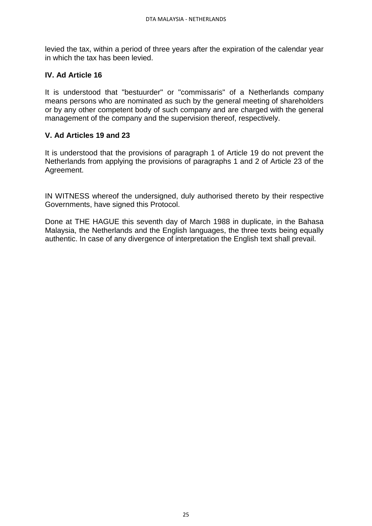levied the tax, within a period of three years after the expiration of the calendar year in which the tax has been levied.

## **IV. Ad Article 16**

It is understood that "bestuurder" or "commissaris" of a Netherlands company means persons who are nominated as such by the general meeting of shareholders or by any other competent body of such company and are charged with the general management of the company and the supervision thereof, respectively.

## **V. Ad Articles 19 and 23**

It is understood that the provisions of paragraph 1 of Article 19 do not prevent the Netherlands from applying the provisions of paragraphs 1 and 2 of Article 23 of the Agreement.

IN WITNESS whereof the undersigned, duly authorised thereto by their respective Governments, have signed this Protocol.

Done at THE HAGUE this seventh day of March 1988 in duplicate, in the Bahasa Malaysia, the Netherlands and the English languages, the three texts being equally authentic. In case of any divergence of interpretation the English text shall prevail.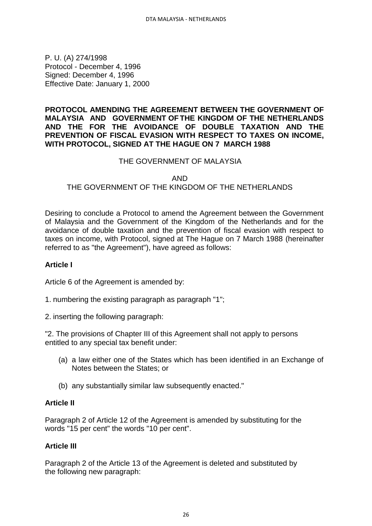<span id="page-25-0"></span>P. U. (A) 274/1998 Protocol - December 4, 1996 Signed: December 4, 1996 Effective Date: January 1, 2000

### **PROTOCOL AMENDING THE AGREEMENT BETWEEN THE GOVERNMENT OF MALAYSIA AND GOVERNMENT OF THE KINGDOM OF THE NETHERLANDS AND THE FOR THE AVOIDANCE OF DOUBLE TAXATION AND THE PREVENTION OF FISCAL EVASION WITH RESPECT TO TAXES ON INCOME, WITH PROTOCOL, SIGNED AT THE HAGUE ON 7 MARCH 1988**

## THE GOVERNMENT OF MALAYSIA

AND

# THE GOVERNMENT OF THE KINGDOM OF THE NETHERLANDS

Desiring to conclude a Protocol to amend the Agreement between the Government of Malaysia and the Government of the Kingdom of the Netherlands and for the avoidance of double taxation and the prevention of fiscal evasion with respect to taxes on income, with Protocol, signed at The Hague on 7 March 1988 (hereinafter referred to as "the Agreement"), have agreed as follows:

### **Article I**

Article 6 of the Agreement is amended by:

- 1. numbering the existing paragraph as paragraph "1";
- 2. inserting the following paragraph:

"2. The provisions of Chapter III of this Agreement shall not apply to persons entitled to any special tax benefit under:

- (a) a law either one of the States which has been identified in an Exchange of Notes between the States; or
- (b) any substantially similar law subsequently enacted."

### **Article II**

Paragraph 2 of Article 12 of the Agreement is amended by substituting for the words "15 per cent" the words "10 per cent".

### **Article III**

Paragraph 2 of the Article 13 of the Agreement is deleted and substituted by the following new paragraph: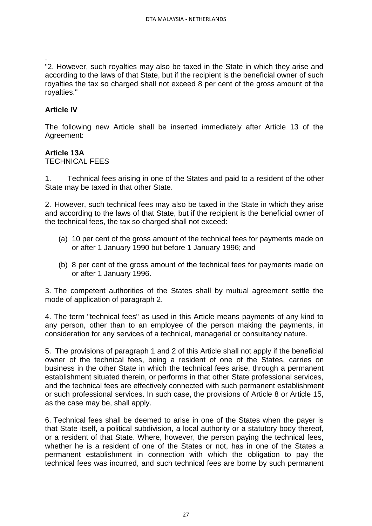. "2. However, such royalties may also be taxed in the State in which they arise and according to the laws of that State, but if the recipient is the beneficial owner of such royalties the tax so charged shall not exceed 8 per cent of the gross amount of the royalties."

## **Article IV**

The following new Article shall be inserted immediately after Article 13 of the Agreement:

## **Article 13A**

TECHNICAL FEES

1. Technical fees arising in one of the States and paid to a resident of the other State may be taxed in that other State.

2. However, such technical fees may also be taxed in the State in which they arise and according to the laws of that State, but if the recipient is the beneficial owner of the technical fees, the tax so charged shall not exceed:

- (a) 10 per cent of the gross amount of the technical fees for payments made on or after 1 January 1990 but before 1 January 1996; and
- (b) 8 per cent of the gross amount of the technical fees for payments made on or after 1 January 1996.

3. The competent authorities of the States shall by mutual agreement settle the mode of application of paragraph 2.

4. The term "technical fees" as used in this Article means payments of any kind to any person, other than to an employee of the person making the payments, in consideration for any services of a technical, managerial or consultancy nature.

5. The provisions of paragraph 1 and 2 of this Article shall not apply if the beneficial owner of the technical fees, being a resident of one of the States, carries on business in the other State in which the technical fees arise, through a permanent establishment situated therein, or performs in that other State professional services, and the technical fees are effectively connected with such permanent establishment or such professional services. In such case, the provisions of Article 8 or Article 15, as the case may be, shall apply.

6. Technical fees shall be deemed to arise in one of the States when the payer is that State itself, a political subdivision, a local authority or a statutory body thereof, or a resident of that State. Where, however, the person paying the technical fees, whether he is a resident of one of the States or not, has in one of the States a permanent establishment in connection with which the obligation to pay the technical fees was incurred, and such technical fees are borne by such permanent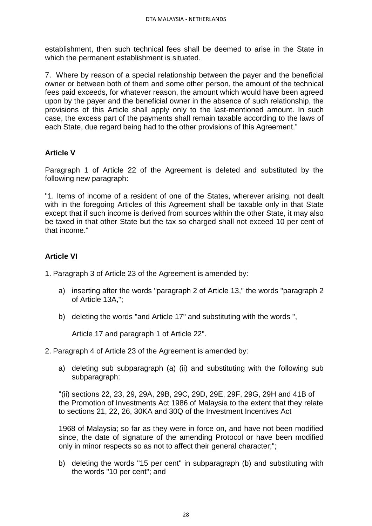establishment, then such technical fees shall be deemed to arise in the State in which the permanent establishment is situated.

7. Where by reason of a special relationship between the payer and the beneficial owner or between both of them and some other person, the amount of the technical fees paid exceeds, for whatever reason, the amount which would have been agreed upon by the payer and the beneficial owner in the absence of such relationship, the provisions of this Article shall apply only to the last-mentioned amount. In such case, the excess part of the payments shall remain taxable according to the laws of each State, due regard being had to the other provisions of this Agreement."

## **Article V**

Paragraph 1 of Article 22 of the Agreement is deleted and substituted by the following new paragraph:

"1. Items of income of a resident of one of the States, wherever arising, not dealt with in the foregoing Articles of this Agreement shall be taxable only in that State except that if such income is derived from sources within the other State, it may also be taxed in that other State but the tax so charged shall not exceed 10 per cent of that income."

## **Article VI**

1. Paragraph 3 of Article 23 of the Agreement is amended by:

- a) inserting after the words "paragraph 2 of Article 13," the words "paragraph 2 of Article 13A,";
- b) deleting the words "and Article 17" and substituting with the words ",

Article 17 and paragraph 1 of Article 22".

- 2. Paragraph 4 of Article 23 of the Agreement is amended by:
	- a) deleting sub subparagraph (a) (ii) and substituting with the following sub subparagraph:

"(ii) sections 22, 23, 29, 29A, 29B, 29C, 29D, 29E, 29F, 29G, 29H and 41B of the Promotion of Investments Act 1986 of Malaysia to the extent that they relate to sections 21, 22, 26, 30KA and 30Q of the Investment Incentives Act

1968 of Malaysia; so far as they were in force on, and have not been modified since, the date of signature of the amending Protocol or have been modified only in minor respects so as not to affect their general character;";

b) deleting the words "15 per cent" in subparagraph (b) and substituting with the words "10 per cent"; and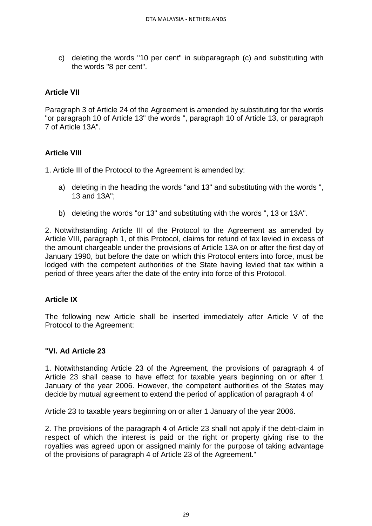c) deleting the words "10 per cent" in subparagraph (c) and substituting with the words "8 per cent".

## **Article VII**

Paragraph 3 of Article 24 of the Agreement is amended by substituting for the words "or paragraph 10 of Article 13" the words ", paragraph 10 of Article 13, or paragraph 7 of Article 13A".

## **Article VIII**

1. Article III of the Protocol to the Agreement is amended by:

- a) deleting in the heading the words "and 13" and substituting with the words ", 13 and 13A";
- b) deleting the words "or 13" and substituting with the words ", 13 or 13A".

2. Notwithstanding Article III of the Protocol to the Agreement as amended by Article VIII, paragraph 1, of this Protocol, claims for refund of tax levied in excess of the amount chargeable under the provisions of Article 13A on or after the first day of January 1990, but before the date on which this Protocol enters into force, must be lodged with the competent authorities of the State having levied that tax within a period of three years after the date of the entry into force of this Protocol.

### **Article IX**

The following new Article shall be inserted immediately after Article V of the Protocol to the Agreement:

### **"VI. Ad Article 23**

1. Notwithstanding Article 23 of the Agreement, the provisions of paragraph 4 of Article 23 shall cease to have effect for taxable years beginning on or after 1 January of the year 2006. However, the competent authorities of the States may decide by mutual agreement to extend the period of application of paragraph 4 of

Article 23 to taxable years beginning on or after 1 January of the year 2006.

2. The provisions of the paragraph 4 of Article 23 shall not apply if the debt-claim in respect of which the interest is paid or the right or property giving rise to the royalties was agreed upon or assigned mainly for the purpose of taking advantage of the provisions of paragraph 4 of Article 23 of the Agreement."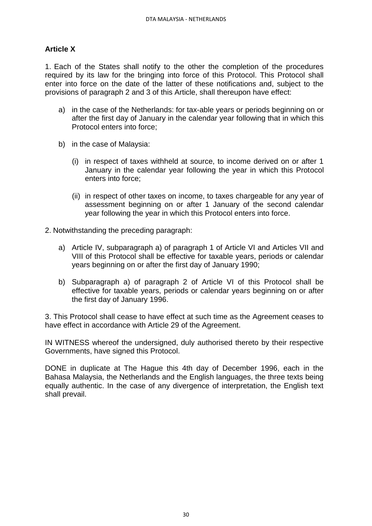# **Article X**

1. Each of the States shall notify to the other the completion of the procedures required by its law for the bringing into force of this Protocol. This Protocol shall enter into force on the date of the latter of these notifications and, subject to the provisions of paragraph 2 and 3 of this Article, shall thereupon have effect:

- a) in the case of the Netherlands: for tax-able years or periods beginning on or after the first day of January in the calendar year following that in which this Protocol enters into force;
- b) in the case of Malaysia:
	- (i) in respect of taxes withheld at source, to income derived on or after 1 January in the calendar year following the year in which this Protocol enters into force;
	- (ii) in respect of other taxes on income, to taxes chargeable for any year of assessment beginning on or after 1 January of the second calendar year following the year in which this Protocol enters into force.
- 2. Notwithstanding the preceding paragraph:
	- a) Article IV, subparagraph a) of paragraph 1 of Article VI and Articles VII and VIII of this Protocol shall be effective for taxable years, periods or calendar years beginning on or after the first day of January 1990;
	- b) Subparagraph a) of paragraph 2 of Article VI of this Protocol shall be effective for taxable years, periods or calendar years beginning on or after the first day of January 1996.

3. This Protocol shall cease to have effect at such time as the Agreement ceases to have effect in accordance with Article 29 of the Agreement.

IN WITNESS whereof the undersigned, duly authorised thereto by their respective Governments, have signed this Protocol.

DONE in duplicate at The Hague this 4th day of December 1996, each in the Bahasa Malaysia, the Netherlands and the English languages, the three texts being equally authentic. In the case of any divergence of interpretation, the English text shall prevail.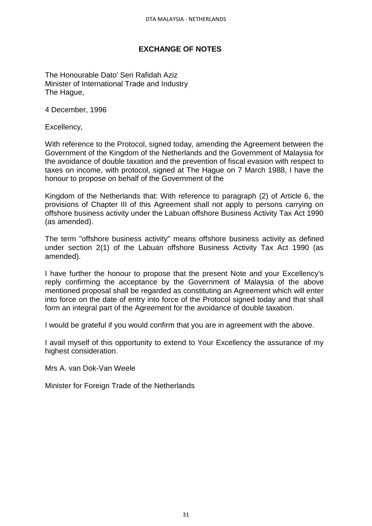# **EXCHANGE OF NOTES**

The Honourable Dato' Seri Rafidah Aziz Minister of International Trade and Industry The Hague,

4 December, 1996

Excellency,

With reference to the Protocol, signed today, amending the Agreement between the Government of the Kingdom of the Netherlands and the Government of Malaysia for the avoidance of double taxation and the prevention of fiscal evasion with respect to taxes on income, with protocol, signed at The Hague on 7 March 1988, I have the honour to propose on behalf of the Government of the

Kingdom of the Netherlands that: With reference to paragraph (2) of Article 6, the provisions of Chapter III of this Agreement shall not apply to persons carrying on offshore business activity under the Labuan offshore Business Activity Tax Act 1990 (as amended).

The term "offshore business activity" means offshore business activity as defined under section 2(1) of the Labuan offshore Business Activity Tax Act 1990 (as amended).

I have further the honour to propose that the present Note and your Excellency's reply confirming the acceptance by the Government of Malaysia of the above mentioned proposal shall be regarded as constituting an Agreement which will enter into force on the date of entry into force of the Protocol signed today and that shall form an integral part of the Agreement for the avoidance of double taxation.

I would be grateful if you would confirm that you are in agreement with the above.

I avail myself of this opportunity to extend to Your Excellency the assurance of my highest consideration.

Mrs A. van Dok-Van Weele

Minister for Foreign Trade of the Netherlands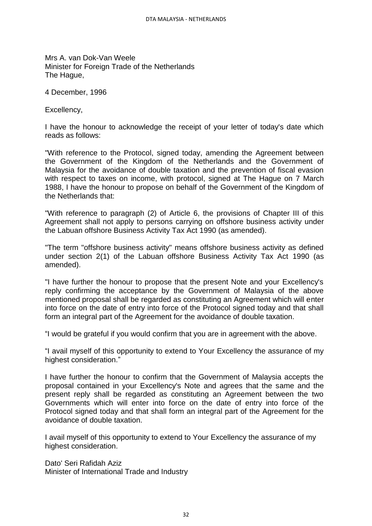Mrs A. van Dok-Van Weele Minister for Foreign Trade of the Netherlands The Hague,

4 December, 1996

Excellency,

I have the honour to acknowledge the receipt of your letter of today's date which reads as follows:

"With reference to the Protocol, signed today, amending the Agreement between the Government of the Kingdom of the Netherlands and the Government of Malaysia for the avoidance of double taxation and the prevention of fiscal evasion with respect to taxes on income, with protocol, signed at The Hague on 7 March 1988, I have the honour to propose on behalf of the Government of the Kingdom of the Netherlands that:

"With reference to paragraph (2) of Article 6, the provisions of Chapter III of this Agreement shall not apply to persons carrying on offshore business activity under the Labuan offshore Business Activity Tax Act 1990 (as amended).

"The term "offshore business activity" means offshore business activity as defined under section 2(1) of the Labuan offshore Business Activity Tax Act 1990 (as amended).

"I have further the honour to propose that the present Note and your Excellency's reply confirming the acceptance by the Government of Malaysia of the above mentioned proposal shall be regarded as constituting an Agreement which will enter into force on the date of entry into force of the Protocol signed today and that shall form an integral part of the Agreement for the avoidance of double taxation.

"I would be grateful if you would confirm that you are in agreement with the above.

"I avail myself of this opportunity to extend to Your Excellency the assurance of my highest consideration."

I have further the honour to confirm that the Government of Malaysia accepts the proposal contained in your Excellency's Note and agrees that the same and the present reply shall be regarded as constituting an Agreement between the two Governments which will enter into force on the date of entry into force of the Protocol signed today and that shall form an integral part of the Agreement for the avoidance of double taxation.

I avail myself of this opportunity to extend to Your Excellency the assurance of my highest consideration.

Dato' Seri Rafidah Aziz Minister of International Trade and Industry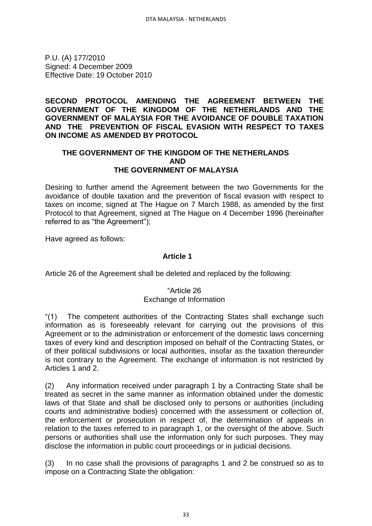<span id="page-32-0"></span>P.U. (A) 177/2010 Signed: 4 December 2009 Effective Date: 19 October 2010

**SECOND PROTOCOL AMENDING THE AGREEMENT BETWEEN THE GOVERNMENT OF THE KINGDOM OF THE NETHERLANDS AND THE GOVERNMENT OF MALAYSIA FOR THE AVOIDANCE OF DOUBLE TAXATION AND THE PREVENTION OF FISCAL EVASION WITH RESPECT TO TAXES ON INCOME AS AMENDED BY PROTOCOL**

### **THE GOVERNMENT OF THE KINGDOM OF THE NETHERLANDS AND THE GOVERNMENT OF MALAYSIA**

Desiring to further amend the Agreement between the two Governments for the avoidance of double taxation and the prevention of fiscal evasion with respect to taxes on income, signed at The Hague on 7 March 1988, as amended by the first Protocol to that Agreement, signed at The Hague on 4 December 1996 (hereinafter referred to as "the Agreement");

Have agreed as follows:

#### **Article 1**

Article 26 of the Agreement shall be deleted and replaced by the following:

### "Article 26

### Exchange of Information

"(1) The competent authorities of the Contracting States shall exchange such information as is foreseeably relevant for carrying out the provisions of this Agreement or to the administration or enforcement of the domestic laws concerning taxes of every kind and description imposed on behalf of the Contracting States, or of their political subdivisions or local authorities, insofar as the taxation thereunder is not contrary to the Agreement. The exchange of information is not restricted by Articles 1 and 2.

(2) Any information received under paragraph 1 by a Contracting State shall be treated as secret in the same manner as information obtained under the domestic laws of that State and shall be disclosed only to persons or authorities (including courts and administrative bodies) concerned with the assessment or collection of, the enforcement or prosecution in respect of, the determination of appeals in relation to the taxes referred to in paragraph 1, or the oversight of the above. Such persons or authorities shall use the information only for such purposes. They may disclose the information in public court proceedings or in judicial decisions.

(3) In no case shall the provisions of paragraphs 1 and 2 be construed so as to impose on a Contracting State the obligation: